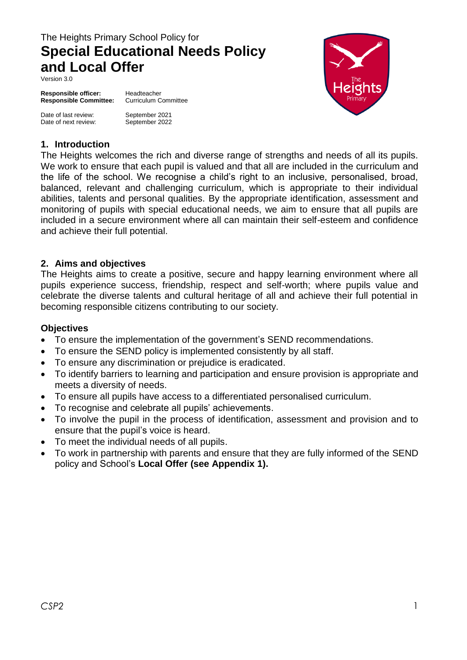# The Heights Primary School Policy for **Special Educational Needs Policy and Local Offer**

Version 3.0

**Responsible officer:** Headteacher<br> **Responsible Committee:** Curriculum Committee **Responsible Committee:** 

Date of last review: September 2021 Date of next review:

September 2022



#### **1. Introduction**

The Heights welcomes the rich and diverse range of strengths and needs of all its pupils. We work to ensure that each pupil is valued and that all are included in the curriculum and the life of the school. We recognise a child's right to an inclusive, personalised, broad, balanced, relevant and challenging curriculum, which is appropriate to their individual abilities, talents and personal qualities. By the appropriate identification, assessment and monitoring of pupils with special educational needs, we aim to ensure that all pupils are included in a secure environment where all can maintain their self-esteem and confidence and achieve their full potential.

#### **2. Aims and objectives**

The Heights aims to create a positive, secure and happy learning environment where all pupils experience success, friendship, respect and self-worth; where pupils value and celebrate the diverse talents and cultural heritage of all and achieve their full potential in becoming responsible citizens contributing to our society.

#### **Objectives**

- To ensure the implementation of the government's SEND recommendations.
- To ensure the SEND policy is implemented consistently by all staff.
- To ensure any discrimination or prejudice is eradicated.
- To identify barriers to learning and participation and ensure provision is appropriate and meets a diversity of needs.
- To ensure all pupils have access to a differentiated personalised curriculum.
- To recognise and celebrate all pupils' achievements.
- To involve the pupil in the process of identification, assessment and provision and to ensure that the pupil's voice is heard.
- To meet the individual needs of all pupils.
- To work in partnership with parents and ensure that they are fully informed of the SEND policy and School's **Local Offer (see Appendix 1).**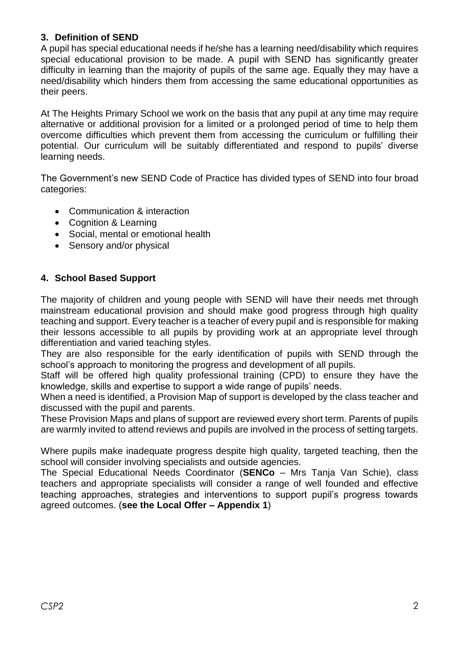## **3. Definition of SEND**

A pupil has special educational needs if he/she has a learning need/disability which requires special educational provision to be made. A pupil with SEND has significantly greater difficulty in learning than the majority of pupils of the same age. Equally they may have a need/disability which hinders them from accessing the same educational opportunities as their peers.

At The Heights Primary School we work on the basis that any pupil at any time may require alternative or additional provision for a limited or a prolonged period of time to help them overcome difficulties which prevent them from accessing the curriculum or fulfilling their potential. Our curriculum will be suitably differentiated and respond to pupils' diverse learning needs.

The Government's new SEND Code of Practice has divided types of SEND into four broad categories:

- Communication & interaction
- Cognition & Learning
- Social, mental or emotional health
- Sensory and/or physical

## **4. School Based Support**

The majority of children and young people with SEND will have their needs met through mainstream educational provision and should make good progress through high quality teaching and support. Every teacher is a teacher of every pupil and is responsible for making their lessons accessible to all pupils by providing work at an appropriate level through differentiation and varied teaching styles.

They are also responsible for the early identification of pupils with SEND through the school's approach to monitoring the progress and development of all pupils.

Staff will be offered high quality professional training (CPD) to ensure they have the knowledge, skills and expertise to support a wide range of pupils' needs.

When a need is identified, a Provision Map of support is developed by the class teacher and discussed with the pupil and parents.

These Provision Maps and plans of support are reviewed every short term. Parents of pupils are warmly invited to attend reviews and pupils are involved in the process of setting targets.

Where pupils make inadequate progress despite high quality, targeted teaching, then the school will consider involving specialists and outside agencies.

The Special Educational Needs Coordinator (**SENCo** – Mrs Tanja Van Schie), class teachers and appropriate specialists will consider a range of well founded and effective teaching approaches, strategies and interventions to support pupil's progress towards agreed outcomes. (**see the Local Offer – Appendix 1**)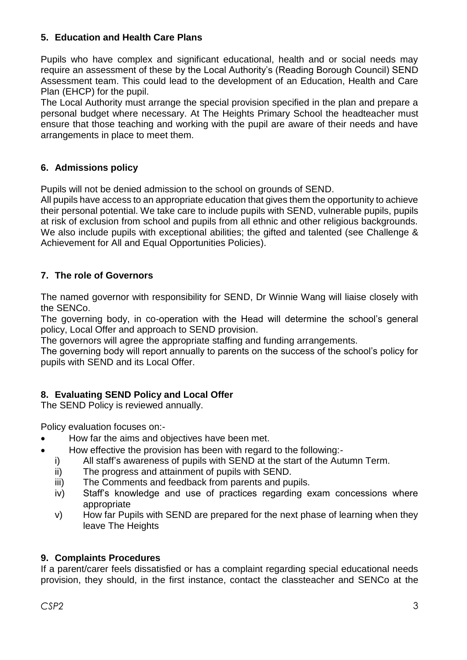# **5. Education and Health Care Plans**

Pupils who have complex and significant educational, health and or social needs may require an assessment of these by the Local Authority's (Reading Borough Council) SEND Assessment team. This could lead to the development of an Education, Health and Care Plan (EHCP) for the pupil.

The Local Authority must arrange the special provision specified in the plan and prepare a personal budget where necessary. At The Heights Primary School the headteacher must ensure that those teaching and working with the pupil are aware of their needs and have arrangements in place to meet them.

# **6. Admissions policy**

Pupils will not be denied admission to the school on grounds of SEND.

All pupils have access to an appropriate education that gives them the opportunity to achieve their personal potential. We take care to include pupils with SEND, vulnerable pupils, pupils at risk of exclusion from school and pupils from all ethnic and other religious backgrounds. We also include pupils with exceptional abilities; the gifted and talented (see Challenge & Achievement for All and Equal Opportunities Policies).

## **7. The role of Governors**

The named governor with responsibility for SEND, Dr Winnie Wang will liaise closely with the SENCo.

The governing body, in co-operation with the Head will determine the school's general policy, Local Offer and approach to SEND provision.

The governors will agree the appropriate staffing and funding arrangements.

The governing body will report annually to parents on the success of the school's policy for pupils with SEND and its Local Offer.

## **8. Evaluating SEND Policy and Local Offer**

The SEND Policy is reviewed annually.

Policy evaluation focuses on:-

- How far the aims and objectives have been met.
- How effective the provision has been with regard to the following:
	- i) All staff's awareness of pupils with SEND at the start of the Autumn Term.
	- ii) The progress and attainment of pupils with SEND.
	- iii) The Comments and feedback from parents and pupils.
	- iv) Staff's knowledge and use of practices regarding exam concessions where appropriate
	- v) How far Pupils with SEND are prepared for the next phase of learning when they leave The Heights

## **9. Complaints Procedures**

If a parent/carer feels dissatisfied or has a complaint regarding special educational needs provision, they should, in the first instance, contact the classteacher and SENCo at the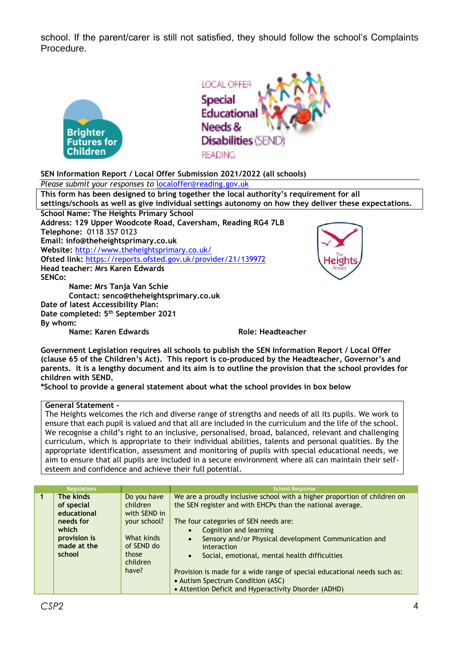school. If the parent/carer is still not satisfied, they should follow the school's Complaints Procedure.





#### **SEN Information Report / Local Offer Submission 2021/2022 (all schools)**

#### *Please submit your responses to* [localoffer@reading.gov.uk](mailto:localoffer@reading.gov.uk)

**This form has been designed to bring together the local authority's requirement for all settings/schools as well as give individual settings autonomy on how they deliver these expectations. School Name: The Heights Primary School Address: 129 Upper Woodcote Road, Caversham, Reading RG4 7LB Telephone:** 0118 357 0123 **Email: info@theheightsprimary.co.uk Website:** <http://www.theheightsprimary.co.uk/> **Ofsted link:** <https://reports.ofsted.gov.uk/provider/21/139972> **Head teacher: Mrs Karen Edwards SENCo: Name: Mrs Tanja Van Schie Contact: senco@theheightsprimary.co.uk Date of latest Accessibility Plan:**

**Date completed: 5 th September 2021 By whom:**

**Name: Karen Edwards Role: Headteacher** 

**Government Legislation requires all schools to publish the SEN Information Report / Local Offer (clause 65 of the Children's Act). This report is co-produced by the Headteacher, Governor's and parents. It is a lengthy document and its aim is to outline the provision that the school provides for children with SEND.**

**\*School to provide a general statement about what the school provides in box below**

#### **General Statement –**

The Heights welcomes the rich and diverse range of strengths and needs of all its pupils. We work to ensure that each pupil is valued and that all are included in the curriculum and the life of the school. We recognise a child's right to an inclusive, personalised, broad, balanced, relevant and challenging curriculum, which is appropriate to their individual abilities, talents and personal qualities. By the appropriate identification, assessment and monitoring of pupils with special educational needs, we aim to ensure that all pupils are included in a secure environment where all can maintain their selfesteem and confidence and achieve their full potential.

| <b>Regulations</b>                                                                                    |                                                                                                                   | <b>School Response</b>                                                                                                                                                                                                                                                                                                                                                                                                                                                                                                                  |
|-------------------------------------------------------------------------------------------------------|-------------------------------------------------------------------------------------------------------------------|-----------------------------------------------------------------------------------------------------------------------------------------------------------------------------------------------------------------------------------------------------------------------------------------------------------------------------------------------------------------------------------------------------------------------------------------------------------------------------------------------------------------------------------------|
| The kinds<br>of special<br>educational<br>needs for<br>which<br>provision is<br>made at the<br>school | Do you have<br>children<br>with SEND in<br>your school?<br>What kinds<br>of SEND do<br>those<br>children<br>have? | We are a proudly inclusive school with a higher proportion of children on<br>the SEN register and with EHCPs than the national average.<br>The four categories of SEN needs are:<br>Cognition and learning<br>Sensory and/or Physical development Communication and<br>$\bullet$<br>interaction<br>Social, emotional, mental health difficulties<br>$\bullet$<br>Provision is made for a wide range of special educational needs such as:<br>• Autism Spectrum Condition (ASC)<br>• Attention Deficit and Hyperactivity Disorder (ADHD) |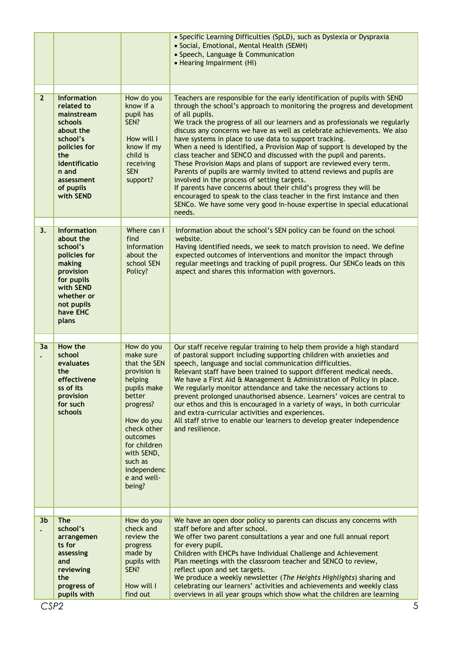|                |                                                                                                                                                                             |                                                                                                                                                                                                                                    | • Specific Learning Difficulties (SpLD), such as Dyslexia or Dyspraxia<br>· Social, Emotional, Mental Health (SEMH)<br>• Speech, Language & Communication<br>• Hearing Impairment (HI)                                                                                                                                                                                                                                                                                                                                                                                                                                                                                                                                                                                                                                                                                                                                                                                            |
|----------------|-----------------------------------------------------------------------------------------------------------------------------------------------------------------------------|------------------------------------------------------------------------------------------------------------------------------------------------------------------------------------------------------------------------------------|-----------------------------------------------------------------------------------------------------------------------------------------------------------------------------------------------------------------------------------------------------------------------------------------------------------------------------------------------------------------------------------------------------------------------------------------------------------------------------------------------------------------------------------------------------------------------------------------------------------------------------------------------------------------------------------------------------------------------------------------------------------------------------------------------------------------------------------------------------------------------------------------------------------------------------------------------------------------------------------|
| $\overline{2}$ | <b>Information</b><br>related to<br>mainstream<br>schools<br>about the<br>school's<br>policies for<br>the<br>identificatio<br>n and<br>assessment<br>of pupils<br>with SEND | How do you<br>know if a<br>pupil has<br>SEN?<br>How will I<br>know if my<br>child is<br>receiving<br><b>SEN</b><br>support?                                                                                                        | Teachers are responsible for the early identification of pupils with SEND<br>through the school's approach to monitoring the progress and development<br>of all pupils.<br>We track the progress of all our learners and as professionals we regularly<br>discuss any concerns we have as well as celebrate achievements. We also<br>have systems in place to use data to support tracking.<br>When a need is identified, a Provision Map of support is developed by the<br>class teacher and SENCO and discussed with the pupil and parents.<br>These Provision Maps and plans of support are reviewed every term.<br>Parents of pupils are warmly invited to attend reviews and pupils are<br>involved in the process of setting targets.<br>If parents have concerns about their child's progress they will be<br>encouraged to speak to the class teacher in the first instance and then<br>SENCo. We have some very good in-house expertise in special educational<br>needs. |
| 3.             | <b>Information</b><br>about the<br>school's<br>policies for<br>making<br>provision<br>for pupils<br>with SEND<br>whether or<br>not pupils<br>have EHC<br>plans              | Where can I<br>find<br>information<br>about the<br>school SEN<br>Policy?                                                                                                                                                           | Information about the school's SEN policy can be found on the school<br>website.<br>Having identified needs, we seek to match provision to need. We define<br>expected outcomes of interventions and monitor the impact through<br>regular meetings and tracking of pupil progress. Our SENCo leads on this<br>aspect and shares this information with governors.                                                                                                                                                                                                                                                                                                                                                                                                                                                                                                                                                                                                                 |
| 3a             | How the<br>school<br>evaluates<br>the<br>effectivene<br>ss of its<br>provision<br>for such<br>schools                                                                       | How do you<br>make sure<br>that the SEN<br>provision is<br>helping<br>pupils make<br>better<br>progress?<br>How do you<br>check other<br>outcomes<br>for children<br>with SEND,<br>such as<br>independenc<br>e and well-<br>being? | Our staff receive regular training to help them provide a high standard<br>of pastoral support including supporting children with anxieties and<br>speech, language and social communication difficulties.<br>Relevant staff have been trained to support different medical needs.<br>We have a First Aid & Management & Administration of Policy in place.<br>We regularly monitor attendance and take the necessary actions to<br>prevent prolonged unauthorised absence. Learners' voices are central to<br>our ethos and this is encouraged in a variety of ways, in both curricular<br>and extra-curricular activities and experiences.<br>All staff strive to enable our learners to develop greater independence<br>and resilience.                                                                                                                                                                                                                                        |
| 3 <sub>b</sub> | <b>The</b><br>school's<br>arrangemen<br>ts for<br>assessing<br>and<br>reviewing<br>the<br>progress of<br>pupils with                                                        | How do you<br>check and<br>review the<br>progress<br>made by<br>pupils with<br>SEN?<br>How will I<br>find out                                                                                                                      | We have an open door policy so parents can discuss any concerns with<br>staff before and after school.<br>We offer two parent consultations a year and one full annual report<br>for every pupil.<br>Children with EHCPs have Individual Challenge and Achievement<br>Plan meetings with the classroom teacher and SENCO to review,<br>reflect upon and set targets.<br>We produce a weekly newsletter (The Heights Highlights) sharing and<br>celebrating our learners' activities and achievements and weekly class<br>overviews in all year groups which show what the children are learning                                                                                                                                                                                                                                                                                                                                                                                   |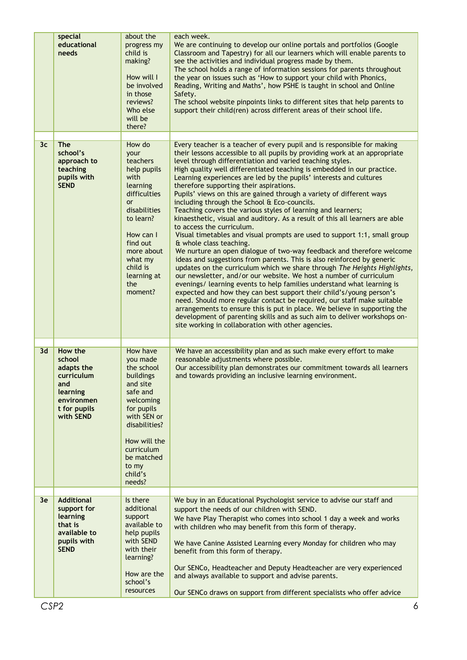|                | special<br>educational<br>needs                                                                  | about the<br>progress my<br>child is<br>making?<br>How will I<br>be involved<br>in those<br>reviews?<br>Who else<br>will be<br>there?                                                                        | each week.<br>We are continuing to develop our online portals and portfolios (Google<br>Classroom and Tapestry) for all our learners which will enable parents to<br>see the activities and individual progress made by them.<br>The school holds a range of information sessions for parents throughout<br>the year on issues such as 'How to support your child with Phonics,<br>Reading, Writing and Maths', how PSHE is taught in school and Online<br>Safety.<br>The school website pinpoints links to different sites that help parents to<br>support their child(ren) across different areas of their school life.                                                                                                                                                                                                                                                                                                                                                                                                                                                                                                                                                                                                                                                                                                                                                                                                                                                                      |
|----------------|--------------------------------------------------------------------------------------------------|--------------------------------------------------------------------------------------------------------------------------------------------------------------------------------------------------------------|------------------------------------------------------------------------------------------------------------------------------------------------------------------------------------------------------------------------------------------------------------------------------------------------------------------------------------------------------------------------------------------------------------------------------------------------------------------------------------------------------------------------------------------------------------------------------------------------------------------------------------------------------------------------------------------------------------------------------------------------------------------------------------------------------------------------------------------------------------------------------------------------------------------------------------------------------------------------------------------------------------------------------------------------------------------------------------------------------------------------------------------------------------------------------------------------------------------------------------------------------------------------------------------------------------------------------------------------------------------------------------------------------------------------------------------------------------------------------------------------|
| 3 <sub>c</sub> | <b>The</b>                                                                                       | How do                                                                                                                                                                                                       | Every teacher is a teacher of every pupil and is responsible for making                                                                                                                                                                                                                                                                                                                                                                                                                                                                                                                                                                                                                                                                                                                                                                                                                                                                                                                                                                                                                                                                                                                                                                                                                                                                                                                                                                                                                        |
|                | school's<br>approach to<br>teaching<br>pupils with<br><b>SEND</b>                                | your<br>teachers<br>help pupils<br>with<br>learning<br>difficulties<br><b>or</b><br>disabilities<br>to learn?<br>How can I<br>find out<br>more about<br>what my<br>child is<br>learning at<br>the<br>moment? | their lessons accessible to all pupils by providing work at an appropriate<br>level through differentiation and varied teaching styles.<br>High quality well differentiated teaching is embedded in our practice.<br>Learning experiences are led by the pupils' interests and cultures<br>therefore supporting their aspirations.<br>Pupils' views on this are gained through a variety of different ways<br>including through the School & Eco-councils.<br>Teaching covers the various styles of learning and learners;<br>kinaesthetic, visual and auditory. As a result of this all learners are able<br>to access the curriculum.<br>Visual timetables and visual prompts are used to support 1:1, small group<br>& whole class teaching.<br>We nurture an open dialogue of two-way feedback and therefore welcome<br>ideas and suggestions from parents. This is also reinforced by generic<br>updates on the curriculum which we share through The Heights Highlights,<br>our newsletter, and/or our website. We host a number of curriculum<br>evenings/ learning events to help families understand what learning is<br>expected and how they can best support their child's/young person's<br>need. Should more regular contact be required, our staff make suitable<br>arrangements to ensure this is put in place. We believe in supporting the<br>development of parenting skills and as such aim to deliver workshops on-<br>site working in collaboration with other agencies. |
| 3d             | How the                                                                                          | How have                                                                                                                                                                                                     | We have an accessibility plan and as such make every effort to make                                                                                                                                                                                                                                                                                                                                                                                                                                                                                                                                                                                                                                                                                                                                                                                                                                                                                                                                                                                                                                                                                                                                                                                                                                                                                                                                                                                                                            |
|                | school<br>adapts the<br>curriculum<br>and<br>learning<br>environmen<br>t for pupils<br>with SEND | you made<br>the school<br>buildings<br>and site<br>safe and<br>welcoming<br>for pupils<br>with SEN or<br>disabilities?<br>How will the<br>curriculum<br>be matched<br>to my<br>child's<br>needs?             | reasonable adjustments where possible.<br>Our accessibility plan demonstrates our commitment towards all learners<br>and towards providing an inclusive learning environment.                                                                                                                                                                                                                                                                                                                                                                                                                                                                                                                                                                                                                                                                                                                                                                                                                                                                                                                                                                                                                                                                                                                                                                                                                                                                                                                  |
| 3e             | <b>Additional</b>                                                                                | Is there                                                                                                                                                                                                     | We buy in an Educational Psychologist service to advise our staff and                                                                                                                                                                                                                                                                                                                                                                                                                                                                                                                                                                                                                                                                                                                                                                                                                                                                                                                                                                                                                                                                                                                                                                                                                                                                                                                                                                                                                          |
|                | support for<br>learning<br>that is<br>available to<br>pupils with<br><b>SEND</b>                 | additional<br>support<br>available to<br>help pupils<br>with SEND<br>with their<br>learning?<br>How are the<br>school's<br>resources                                                                         | support the needs of our children with SEND.<br>We have Play Therapist who comes into school 1 day a week and works<br>with children who may benefit from this form of therapy.<br>We have Canine Assisted Learning every Monday for children who may<br>benefit from this form of therapy.<br>Our SENCo, Headteacher and Deputy Headteacher are very experienced<br>and always available to support and advise parents.<br>Our SENCo draws on support from different specialists who offer advice                                                                                                                                                                                                                                                                                                                                                                                                                                                                                                                                                                                                                                                                                                                                                                                                                                                                                                                                                                                             |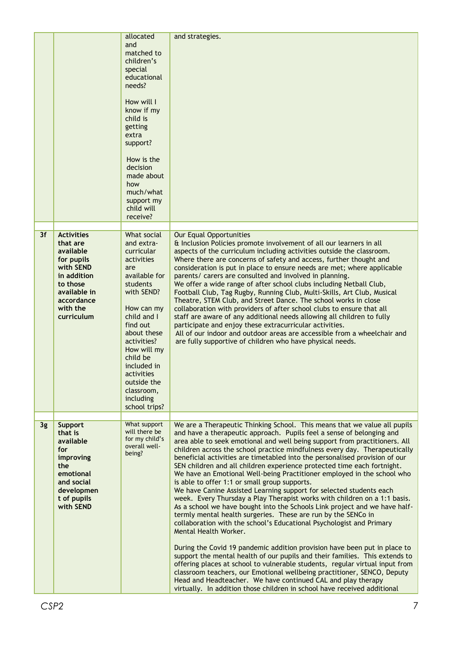|    |                                                                                                                                     | allocated<br>and<br>matched to<br>children's<br>special<br>educational<br>needs?<br>How will I<br>know if my<br>child is<br>getting<br>extra<br>support?<br>How is the<br>decision<br>made about<br>how<br>much/what<br>support my<br>child will<br>receive?                       | and strategies.                                                                                                                                                                                                                                                                                                                                                                                                                                                                                                                                                                                                                                                                                                                                                                                                                                                                                                                                                                                                                                                                                                                                                                                                                                                                                                       |
|----|-------------------------------------------------------------------------------------------------------------------------------------|------------------------------------------------------------------------------------------------------------------------------------------------------------------------------------------------------------------------------------------------------------------------------------|-----------------------------------------------------------------------------------------------------------------------------------------------------------------------------------------------------------------------------------------------------------------------------------------------------------------------------------------------------------------------------------------------------------------------------------------------------------------------------------------------------------------------------------------------------------------------------------------------------------------------------------------------------------------------------------------------------------------------------------------------------------------------------------------------------------------------------------------------------------------------------------------------------------------------------------------------------------------------------------------------------------------------------------------------------------------------------------------------------------------------------------------------------------------------------------------------------------------------------------------------------------------------------------------------------------------------|
| 3f | <b>Activities</b>                                                                                                                   | What social                                                                                                                                                                                                                                                                        | <b>Our Equal Opportunities</b>                                                                                                                                                                                                                                                                                                                                                                                                                                                                                                                                                                                                                                                                                                                                                                                                                                                                                                                                                                                                                                                                                                                                                                                                                                                                                        |
|    | that are<br>available<br>for pupils<br>with SEND<br>in addition<br>to those<br>available in<br>accordance<br>with the<br>curriculum | and extra-<br>curricular<br>activities<br>are<br>available for<br>students<br>with SEND?<br>How can my<br>child and I<br>find out<br>about these<br>activities?<br>How will my<br>child be<br>included in<br>activities<br>outside the<br>classroom,<br>including<br>school trips? | & Inclusion Policies promote involvement of all our learners in all<br>aspects of the curriculum including activities outside the classroom.<br>Where there are concerns of safety and access, further thought and<br>consideration is put in place to ensure needs are met; where applicable<br>parents/ carers are consulted and involved in planning.<br>We offer a wide range of after school clubs including Netball Club,<br>Football Club, Tag Rugby, Running Club, Multi-Skills, Art Club, Musical<br>Theatre, STEM Club, and Street Dance. The school works in close<br>collaboration with providers of after school clubs to ensure that all<br>staff are aware of any additional needs allowing all children to fully<br>participate and enjoy these extracurricular activities.<br>All of our indoor and outdoor areas are accessible from a wheelchair and<br>are fully supportive of children who have physical needs.                                                                                                                                                                                                                                                                                                                                                                                  |
| 3g | <b>Support</b><br>that is                                                                                                           | What support<br>will there be<br>for my child's                                                                                                                                                                                                                                    | We are a Therapeutic Thinking School. This means that we value all pupils<br>and have a therapeutic approach. Pupils feel a sense of belonging and                                                                                                                                                                                                                                                                                                                                                                                                                                                                                                                                                                                                                                                                                                                                                                                                                                                                                                                                                                                                                                                                                                                                                                    |
|    | available<br>for<br>improving<br>the<br>emotional<br>and social<br>developmen<br>t of pupils<br>with SEND                           | overall well-<br>being?                                                                                                                                                                                                                                                            | area able to seek emotional and well being support from practitioners. All<br>children across the school practice mindfulness every day. Therapeutically<br>beneficial activities are timetabled into the personalised provision of our<br>SEN children and all children experience protected time each fortnight.<br>We have an Emotional Well-being Practitioner employed in the school who<br>is able to offer 1:1 or small group supports.<br>We have Canine Assisted Learning support for selected students each<br>week. Every Thursday a Play Therapist works with children on a 1:1 basis.<br>As a school we have bought into the Schools Link project and we have half-<br>termly mental health surgeries. These are run by the SENCo in<br>collaboration with the school's Educational Psychologist and Primary<br>Mental Health Worker.<br>During the Covid 19 pandemic addition provision have been put in place to<br>support the mental health of our pupils and their families. This extends to<br>offering places at school to vulnerable students, regular virtual input from<br>classroom teachers, our Emotional wellbeing practitioner, SENCO, Deputy<br>Head and Headteacher. We have continued CAL and play therapy<br>virtually. In addition those children in school have received additional |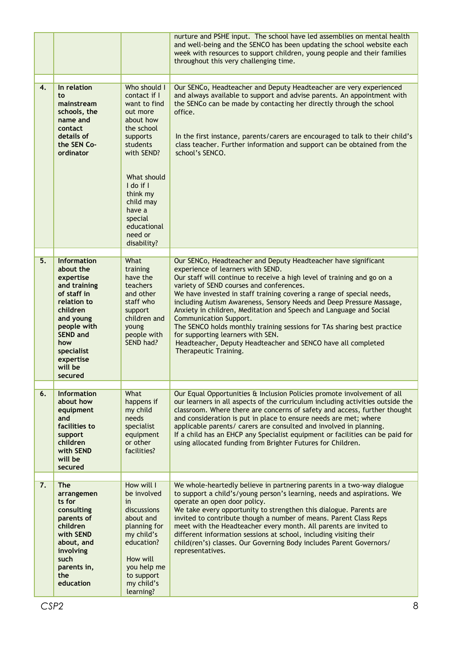|    |                                                                                                                                                                                                               |                                                                                                                                                                                                                                              | nurture and PSHE input. The school have led assemblies on mental health<br>and well-being and the SENCO has been updating the school website each<br>week with resources to support children, young people and their families<br>throughout this very challenging time.                                                                                                                                                                                                                                                                                                                                                                                                                     |
|----|---------------------------------------------------------------------------------------------------------------------------------------------------------------------------------------------------------------|----------------------------------------------------------------------------------------------------------------------------------------------------------------------------------------------------------------------------------------------|---------------------------------------------------------------------------------------------------------------------------------------------------------------------------------------------------------------------------------------------------------------------------------------------------------------------------------------------------------------------------------------------------------------------------------------------------------------------------------------------------------------------------------------------------------------------------------------------------------------------------------------------------------------------------------------------|
| 4. | In relation<br>to<br>mainstream<br>schools, the<br>name and<br>contact<br>details of<br>the SEN Co-<br>ordinator                                                                                              | Who should I<br>contact if I<br>want to find<br>out more<br>about how<br>the school<br>supports<br>students<br>with SEND?<br>What should<br>I do if I<br>think my<br>child may<br>have a<br>special<br>educational<br>need or<br>disability? | Our SENCo, Headteacher and Deputy Headteacher are very experienced<br>and always available to support and advise parents. An appointment with<br>the SENCo can be made by contacting her directly through the school<br>office.<br>In the first instance, parents/carers are encouraged to talk to their child's<br>class teacher. Further information and support can be obtained from the<br>school's SENCO.                                                                                                                                                                                                                                                                              |
| 5. | <b>Information</b><br>about the<br>expertise<br>and training<br>of staff in<br>relation to<br>children<br>and young<br>people with<br><b>SEND and</b><br>how<br>specialist<br>expertise<br>will be<br>secured | What<br>training<br>have the<br>teachers<br>and other<br>staff who<br>support<br>children and<br>young<br>people with<br>SEND had?                                                                                                           | Our SENCo, Headteacher and Deputy Headteacher have significant<br>experience of learners with SEND.<br>Our staff will continue to receive a high level of training and go on a<br>variety of SEND courses and conferences.<br>We have invested in staff training covering a range of special needs,<br>including Autism Awareness, Sensory Needs and Deep Pressure Massage,<br>Anxiety in children, Meditation and Speech and Language and Social<br><b>Communication Support.</b><br>The SENCO holds monthly training sessions for TAs sharing best practice<br>for supporting learners with SEN.<br>Headteacher, Deputy Headteacher and SENCO have all completed<br>Therapeutic Training. |
| 6. | <b>Information</b><br>about how<br>equipment<br>and<br>facilities to<br>support<br>children<br>with SEND<br>will be<br>secured                                                                                | What<br>happens if<br>my child<br>needs<br>specialist<br>equipment<br>or other<br>facilities?                                                                                                                                                | Our Equal Opportunities & Inclusion Policies promote involvement of all<br>our learners in all aspects of the curriculum including activities outside the<br>classroom. Where there are concerns of safety and access, further thought<br>and consideration is put in place to ensure needs are met; where<br>applicable parents/ carers are consulted and involved in planning.<br>If a child has an EHCP any Specialist equipment or facilities can be paid for<br>using allocated funding from Brighter Futures for Children.                                                                                                                                                            |
| 7. | <b>The</b><br>arrangemen<br>ts for<br>consulting<br>parents of<br>children<br>with SEND<br>about, and<br>involving<br>such<br>parents in,<br>the<br>education                                                 | How will I<br>be involved<br>in<br>discussions<br>about and<br>planning for<br>my child's<br>education?<br>How will<br>you help me<br>to support<br>my child's<br>learning?                                                                  | We whole-heartedly believe in partnering parents in a two-way dialogue<br>to support a child's/young person's learning, needs and aspirations. We<br>operate an open door policy.<br>We take every opportunity to strengthen this dialogue. Parents are<br>invited to contribute though a number of means. Parent Class Reps<br>meet with the Headteacher every month. All parents are invited to<br>different information sessions at school, including visiting their<br>child(ren's) classes. Our Governing Body includes Parent Governors/<br>representatives.                                                                                                                          |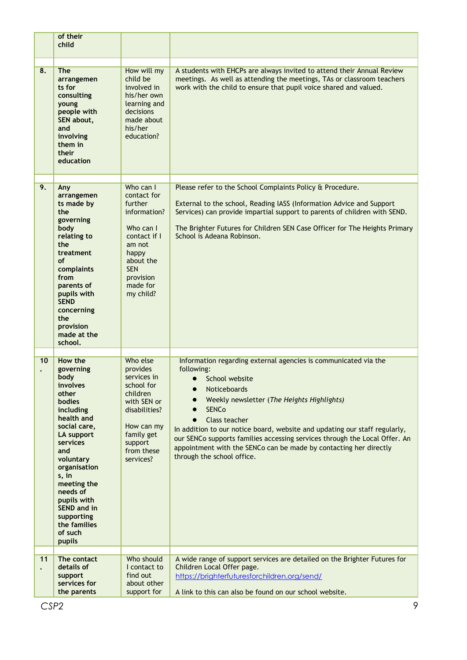|    | of their<br>child                                                                                                                                                                                                                                                                                       |                                                                                                                                                                      |                                                                                                                                                                                                                                                                                                                                                                                                                                                                                              |
|----|---------------------------------------------------------------------------------------------------------------------------------------------------------------------------------------------------------------------------------------------------------------------------------------------------------|----------------------------------------------------------------------------------------------------------------------------------------------------------------------|----------------------------------------------------------------------------------------------------------------------------------------------------------------------------------------------------------------------------------------------------------------------------------------------------------------------------------------------------------------------------------------------------------------------------------------------------------------------------------------------|
| 8. | <b>The</b><br>arrangemen<br>ts for<br>consulting<br>young<br>people with<br>SEN about,<br>and<br>involving<br>them in<br>their<br>education                                                                                                                                                             | How will my<br>child be<br>involved in<br>his/her own<br>learning and<br>decisions<br>made about<br>his/her<br>education?                                            | A students with EHCPs are always invited to attend their Annual Review<br>meetings. As well as attending the meetings, TAs or classroom teachers<br>work with the child to ensure that pupil voice shared and valued.                                                                                                                                                                                                                                                                        |
| 9. | Any<br>arrangemen<br>ts made by<br>the<br>governing<br>body<br>relating to<br>the<br>treatment<br>of<br>complaints<br>from<br>parents of<br>pupils with<br><b>SEND</b><br>concerning<br>the<br>provision<br>made at the<br>school.                                                                      | Who can I<br>contact for<br>further<br>information?<br>Who can I<br>contact if I<br>am not<br>happy<br>about the<br><b>SEN</b><br>provision<br>made for<br>my child? | Please refer to the School Complaints Policy & Procedure.<br>External to the school, Reading IASS (Information Advice and Support<br>Services) can provide impartial support to parents of children with SEND.<br>The Brighter Futures for Children SEN Case Officer for The Heights Primary<br>School is Adeana Robinson.                                                                                                                                                                   |
| 10 | How the<br>governing<br>body<br>involves<br>other<br><b>bodies</b><br>including<br>health and<br>social care,<br>LA support<br>services<br>and<br>voluntary<br>organisation<br>s, in<br>meeting the<br>needs of<br>pupils with<br><b>SEND and in</b><br>supporting<br>the families<br>of such<br>pupils | Who else<br>provides<br>services in<br>school for<br>children<br>with SEN or<br>disabilities?<br>How can my<br>family get<br>support<br>from these<br>services?      | Information regarding external agencies is communicated via the<br>following:<br>School website<br>$\bullet$<br>Noticeboards<br>●<br>Weekly newsletter (The Heights Highlights)<br><b>SENCo</b><br>Class teacher<br>$\bullet$<br>In addition to our notice board, website and updating our staff regularly,<br>our SENCo supports families accessing services through the Local Offer. An<br>appointment with the SENCo can be made by contacting her directly<br>through the school office. |
| 11 | The contact<br>details of<br>support<br>services for<br>the parents                                                                                                                                                                                                                                     | Who should<br>I contact to<br>find out<br>about other<br>support for                                                                                                 | A wide range of support services are detailed on the Brighter Futures for<br>Children Local Offer page.<br>https://brighterfuturesforchildren.org/send/<br>A link to this can also be found on our school website.                                                                                                                                                                                                                                                                           |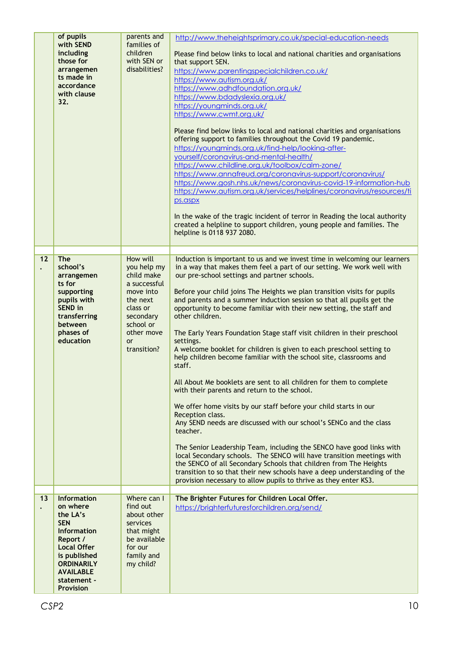|    | of pupils<br>with SEND<br>including<br>those for<br>arrangemen<br>ts made in<br>accordance<br>with clause<br>32.                                                                                      | parents and<br>families of<br>children<br>with SEN or<br>disabilities?                                                                                         | http://www.theheightsprimary.co.uk/special-education-needs<br>Please find below links to local and national charities and organisations<br>that support SEN.<br>https://www.parentingspecialchildren.co.uk/<br>https://www.autism.org.uk/<br>https://www.adhdfoundation.org.uk/<br>https://www.bdadyslexia.org.uk/<br>https://youngminds.org.uk/<br>https://www.cwmt.org.uk/<br>Please find below links to local and national charities and organisations<br>offering support to families throughout the Covid 19 pandemic.<br>https://youngminds.org.uk/find-help/looking-after-<br>yourself/coronavirus-and-mental-health/<br>https://www.childline.org.uk/toolbox/calm-zone/<br>https://www.annafreud.org/coronavirus-support/coronavirus/<br>https://www.gosh.nhs.uk/news/coronavirus-covid-19-information-hub<br>https://www.autism.org.uk/services/helplines/coronavirus/resources/ti<br>ps.aspx<br>In the wake of the tragic incident of terror in Reading the local authority<br>created a helpline to support children, young people and families. The<br>helpline is 0118 937 2080.                                                                                                                                                                                                                                                                                |
|----|-------------------------------------------------------------------------------------------------------------------------------------------------------------------------------------------------------|----------------------------------------------------------------------------------------------------------------------------------------------------------------|------------------------------------------------------------------------------------------------------------------------------------------------------------------------------------------------------------------------------------------------------------------------------------------------------------------------------------------------------------------------------------------------------------------------------------------------------------------------------------------------------------------------------------------------------------------------------------------------------------------------------------------------------------------------------------------------------------------------------------------------------------------------------------------------------------------------------------------------------------------------------------------------------------------------------------------------------------------------------------------------------------------------------------------------------------------------------------------------------------------------------------------------------------------------------------------------------------------------------------------------------------------------------------------------------------------------------------------------------------------------------|
|    |                                                                                                                                                                                                       |                                                                                                                                                                |                                                                                                                                                                                                                                                                                                                                                                                                                                                                                                                                                                                                                                                                                                                                                                                                                                                                                                                                                                                                                                                                                                                                                                                                                                                                                                                                                                              |
| 12 | <b>The</b><br>school's<br>arrangemen<br>ts for<br>supporting<br>pupils with<br><b>SEND</b> in<br>transferring<br>between<br>phases of<br>education                                                    | How will<br>you help my<br>child make<br>a successful<br>move into<br>the next<br>class or<br>secondary<br>school or<br>other move<br><b>or</b><br>transition? | Induction is important to us and we invest time in welcoming our learners<br>in a way that makes them feel a part of our setting. We work well with<br>our pre-school settings and partner schools.<br>Before your child joins The Heights we plan transition visits for pupils<br>and parents and a summer induction session so that all pupils get the<br>opportunity to become familiar with their new setting, the staff and<br>other children.<br>The Early Years Foundation Stage staff visit children in their preschool<br>settings.<br>A welcome booklet for children is given to each preschool setting to<br>help children become familiar with the school site, classrooms and<br>staff.<br>All About Me booklets are sent to all children for them to complete<br>with their parents and return to the school.<br>We offer home visits by our staff before your child starts in our<br>Reception class.<br>Any SEND needs are discussed with our school's SENCo and the class<br>teacher.<br>The Senior Leadership Team, including the SENCO have good links with<br>local Secondary schools. The SENCO will have transition meetings with<br>the SENCO of all Secondary Schools that children from The Heights<br>transition to so that their new schools have a deep understanding of the<br>provision necessary to allow pupils to thrive as they enter KS3. |
| 13 | <b>Information</b><br>on where<br>the LA's<br><b>SEN</b><br>Information<br>Report /<br><b>Local Offer</b><br>is published<br><b>ORDINARILY</b><br><b>AVAILABLE</b><br>statement -<br><b>Provision</b> | Where can I<br>find out<br>about other<br>services<br>that might<br>be available<br>for our<br>family and<br>my child?                                         | The Brighter Futures for Children Local Offer.<br>https://brighterfuturesforchildren.org/send/                                                                                                                                                                                                                                                                                                                                                                                                                                                                                                                                                                                                                                                                                                                                                                                                                                                                                                                                                                                                                                                                                                                                                                                                                                                                               |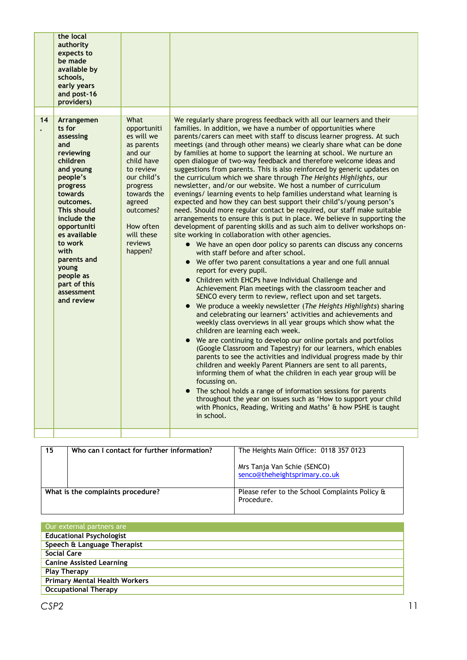|    | the local<br>authority<br>expects to<br>be made<br>available by<br>schools,<br>early years<br>and post-16<br>providers)                                                                                                                                                                                       |                                                                                                                                                                                                         |                                                                                                                                                                                                                                                                                                                                                                                                                                                                                                                                                                                                                                                                                                                                                                                                                                                                                                                                                                                                                                                                                                                                                                                                                                                                                                                                                                                                                                                                                                                                                                                                                                                                                                                                                                                                                                                                                                                                                                                                                                                                                                                                                                                                                                                                                                                                                  |
|----|---------------------------------------------------------------------------------------------------------------------------------------------------------------------------------------------------------------------------------------------------------------------------------------------------------------|---------------------------------------------------------------------------------------------------------------------------------------------------------------------------------------------------------|--------------------------------------------------------------------------------------------------------------------------------------------------------------------------------------------------------------------------------------------------------------------------------------------------------------------------------------------------------------------------------------------------------------------------------------------------------------------------------------------------------------------------------------------------------------------------------------------------------------------------------------------------------------------------------------------------------------------------------------------------------------------------------------------------------------------------------------------------------------------------------------------------------------------------------------------------------------------------------------------------------------------------------------------------------------------------------------------------------------------------------------------------------------------------------------------------------------------------------------------------------------------------------------------------------------------------------------------------------------------------------------------------------------------------------------------------------------------------------------------------------------------------------------------------------------------------------------------------------------------------------------------------------------------------------------------------------------------------------------------------------------------------------------------------------------------------------------------------------------------------------------------------------------------------------------------------------------------------------------------------------------------------------------------------------------------------------------------------------------------------------------------------------------------------------------------------------------------------------------------------------------------------------------------------------------------------------------------------|
| 14 | Arrangemen<br>ts for<br>assessing<br>and<br>reviewing<br>children<br>and young<br>people's<br>progress<br>towards<br>outcomes.<br><b>This should</b><br>include the<br>opportuniti<br>es available<br>to work<br>with<br>parents and<br><b>young</b><br>people as<br>part of this<br>assessment<br>and review | What<br>opportuniti<br>es will we<br>as parents<br>and our<br>child have<br>to review<br>our child's<br>progress<br>towards the<br>agreed<br>outcomes?<br>How often<br>will these<br>reviews<br>happen? | We regularly share progress feedback with all our learners and their<br>families. In addition, we have a number of opportunities where<br>parents/carers can meet with staff to discuss learner progress. At such<br>meetings (and through other means) we clearly share what can be done<br>by families at home to support the learning at school. We nurture an<br>open dialogue of two-way feedback and therefore welcome ideas and<br>suggestions from parents. This is also reinforced by generic updates on<br>the curriculum which we share through The Heights Highlights, our<br>newsletter, and/or our website. We host a number of curriculum<br>evenings/ learning events to help families understand what learning is<br>expected and how they can best support their child's/young person's<br>need. Should more regular contact be required, our staff make suitable<br>arrangements to ensure this is put in place. We believe in supporting the<br>development of parenting skills and as such aim to deliver workshops on-<br>site working in collaboration with other agencies.<br>• We have an open door policy so parents can discuss any concerns<br>with staff before and after school.<br>• We offer two parent consultations a year and one full annual<br>report for every pupil.<br>Children with EHCPs have Individual Challenge and<br>$\bullet$<br>Achievement Plan meetings with the classroom teacher and<br>SENCO every term to review, reflect upon and set targets.<br>We produce a weekly newsletter (The Heights Highlights) sharing<br>and celebrating our learners' activities and achievements and<br>weekly class overviews in all year groups which show what the<br>children are learning each week.<br>• We are continuing to develop our online portals and portfolios<br>(Google Classroom and Tapestry) for our learners, which enables<br>parents to see the activities and individual progress made by thir<br>children and weekly Parent Planners are sent to all parents,<br>informing them of what the children in each year group will be<br>focussing on.<br>The school holds a range of information sessions for parents<br>$\bullet$<br>throughout the year on issues such as 'How to support your child<br>with Phonics, Reading, Writing and Maths' & how PSHE is taught<br>in school. |
|    |                                                                                                                                                                                                                                                                                                               |                                                                                                                                                                                                         |                                                                                                                                                                                                                                                                                                                                                                                                                                                                                                                                                                                                                                                                                                                                                                                                                                                                                                                                                                                                                                                                                                                                                                                                                                                                                                                                                                                                                                                                                                                                                                                                                                                                                                                                                                                                                                                                                                                                                                                                                                                                                                                                                                                                                                                                                                                                                  |

| 15 | Who can I contact for further information? | The Heights Main Office: 0118 357 0123                       |
|----|--------------------------------------------|--------------------------------------------------------------|
|    |                                            | Mrs Tanja Van Schie (SENCO)<br>senco@theheightsprimary.co.uk |
|    | What is the complaints procedure?          | Please refer to the School Complaints Policy &<br>Procedure. |

| Our external partners are            |
|--------------------------------------|
| <b>Educational Psychologist</b>      |
| Speech & Language Therapist          |
| Social Care                          |
| <b>Canine Assisted Learning</b>      |
| <b>Play Therapy</b>                  |
| <b>Primary Mental Health Workers</b> |
| <b>Occupational Therapy</b>          |